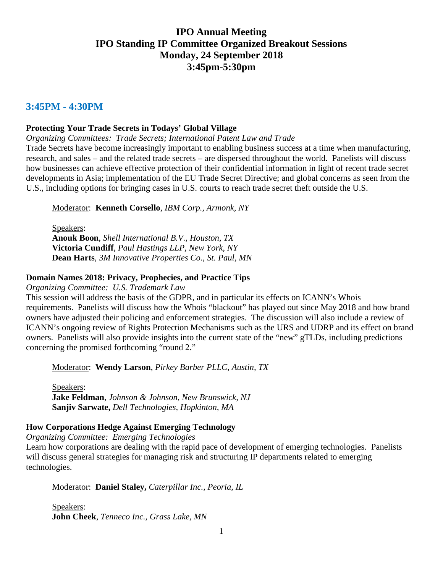# **IPO Annual Meeting IPO Standing IP Committee Organized Breakout Sessions Monday, 24 September 2018 3:45pm-5:30pm**

#### **3:45PM - 4:30PM**

#### **Protecting Your Trade Secrets in Todays' Global Village**

*Organizing Committees: Trade Secrets; International Patent Law and Trade*

Trade Secrets have become increasingly important to enabling business success at a time when manufacturing, research, and sales – and the related trade secrets – are dispersed throughout the world. Panelists will discuss how businesses can achieve effective protection of their confidential information in light of recent trade secret developments in Asia; implementation of the EU Trade Secret Directive; and global concerns as seen from the U.S., including options for bringing cases in U.S. courts to reach trade secret theft outside the U.S.

Moderator: **Kenneth Corsello**, *IBM Corp., Armonk, NY*

Speakers: **Anouk Boon**, *Shell International B.V., Houston, TX* **Victoria Cundiff**, *Paul Hastings LLP, New York, NY* **Dean Harts**, *3M Innovative Properties Co., St. Paul, MN*

#### **Domain Names 2018: Privacy, Prophecies, and Practice Tips**

*Organizing Committee: U.S. Trademark Law*

This session will address the basis of the GDPR, and in particular its effects on ICANN's Whois requirements. Panelists will discuss how the Whois "blackout" has played out since May 2018 and how brand owners have adjusted their policing and enforcement strategies. The discussion will also include a review of ICANN's ongoing review of Rights Protection Mechanisms such as the URS and UDRP and its effect on brand owners. Panelists will also provide insights into the current state of the "new" gTLDs, including predictions concerning the promised forthcoming "round 2."

Moderator: **Wendy Larson**, *Pirkey Barber PLLC, Austin, TX*

Speakers: **Jake Feldman**, *Johnson & Johnson, New Brunswick, NJ* **Sanjiv Sarwate,** *Dell Technologies, Hopkinton, MA*

#### **How Corporations Hedge Against Emerging Technology**

*Organizing Committee: Emerging Technologies*

Learn how corporations are dealing with the rapid pace of development of emerging technologies. Panelists will discuss general strategies for managing risk and structuring IP departments related to emerging technologies.

Moderator: **Daniel Staley,** *Caterpillar Inc., Peoria, IL*

Speakers: **John Cheek**, *Tenneco Inc., Grass Lake, MN*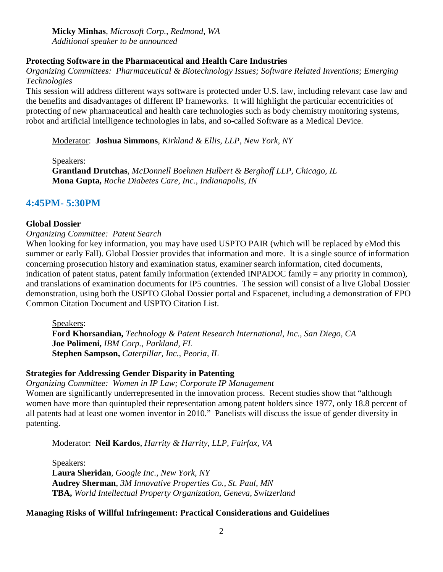**Micky Minhas**, *Microsoft Corp., Redmond, WA Additional speaker to be announced*

#### **Protecting Software in the Pharmaceutical and Health Care Industries**

*Organizing Committees: Pharmaceutical & Biotechnology Issues; Software Related Inventions; Emerging Technologies*

This session will address different ways software is protected under U.S. law, including relevant case law and the benefits and disadvantages of different IP frameworks. It will highlight the particular eccentricities of protecting of new pharmaceutical and health care technologies such as body chemistry monitoring systems, robot and artificial intelligence technologies in labs, and so-called Software as a Medical Device.

Moderator: **Joshua Simmons**, *Kirkland & Ellis, LLP, New York, NY* 

Speakers: **Grantland Drutchas**, *McDonnell Boehnen Hulbert & Berghoff LLP, Chicago, IL*  **Mona Gupta,** *Roche Diabetes Care, Inc., Indianapolis, IN* 

## **4:45PM- 5:30PM**

#### **Global Dossier**

*Organizing Committee: Patent Search*

When looking for key information, you may have used USPTO PAIR (which will be replaced by eMod this summer or early Fall). Global Dossier provides that information and more. It is a single source of information concerning prosecution history and examination status, examiner search information, cited documents, indication of patent status, patent family information (extended INPADOC family = any priority in common), and translations of examination documents for IP5 countries. The session will consist of a live Global Dossier demonstration, using both the USPTO Global Dossier portal and Espacenet, including a demonstration of EPO Common Citation Document and USPTO Citation List.

Speakers: **Ford Khorsandian,** *Technology & Patent Research International, Inc., San Diego, CA*  **Joe Polimeni,** *IBM Corp., Parkland, FL* **Stephen Sampson,** *Caterpillar, Inc., Peoria, IL*

### **Strategies for Addressing Gender Disparity in Patenting**

*Organizing Committee: Women in IP Law; Corporate IP Management*

Women are significantly underrepresented in the innovation process. Recent studies show that "although women have more than quintupled their representation among patent holders since 1977, only 18.8 percent of all patents had at least one women inventor in 2010." Panelists will discuss the issue of gender diversity in patenting.

Moderator: **Neil Kardos**, *Harrity & Harrity, LLP, Fairfax, VA*

Speakers: **Laura Sheridan**, *Google Inc., New York, NY* **Audrey Sherman**, *3M Innovative Properties Co., St. Paul, MN* **TBA,** *World Intellectual Property Organization, Geneva, Switzerland*

### **Managing Risks of Willful Infringement: Practical Considerations and Guidelines**